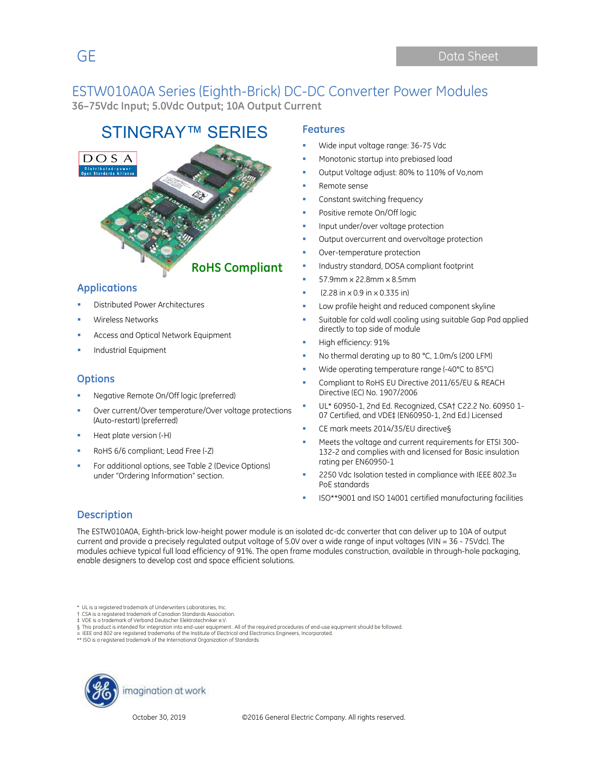## ESTW010A0A Series (Eighth-Brick) DC-DC Converter Power Modules

**36–75Vdc Input; 5.0Vdc Output; 10A Output Current**

# STINGRAY™ SERIES **Features**



#### **Applications**

- Distributed Power Architectures
- Wireless Networks
- Access and Optical Network Equipment
- Industrial Equipment

#### **Options**

- Negative Remote On/Off logic (preferred)
- Over current/Over temperature/Over voltage protections (Auto-restart) (preferred)
- Heat plate version (-H)
- RoHS 6/6 compliant; Lead Free (-Z)
- For additional options, see Table 2 (Device Options) under "Ordering Information" section.

- Wide input voltage range: 36-75 Vdc
- Monotonic startup into prebiased load
- Output Voltage adjust: 80% to 110% of Vo,nom
- Remote sense
- Constant switching frequency
- Positive remote On/Off logic
- Input under/over voltage protection
- Output overcurrent and overvoltage protection
- Over-temperature protection
- Industry standard, DOSA compliant footprint
- 57.9mm x 22.8mm x 8.5mm
- (2.28 in x 0.9 in x 0.335 in)
- Low profile height and reduced component skyline
- Suitable for cold wall cooling using suitable Gap Pad applied directly to top side of module
- High efficiency: 91%
- No thermal derating up to 80 °C, 1.0m/s (200 LFM)
- Wide operating temperature range (-40°C to 85°C)
- Compliant to RoHS EU Directive 2011/65/EU & REACH Directive (EC) No. 1907/2006
- UL\* 60950-1, 2nd Ed. Recognized, CSA† C22.2 No. 60950 1- 07 Certified, and VDE‡ (EN60950-1, 2nd Ed.) Licensed
- CE mark meets 2014/35/EU directive§
- Meets the voltage and current requirements for ETSI 300- 132-2 and complies with and licensed for Basic insulation rating per EN60950-1
- 2250 Vdc Isolation tested in compliance with IEEE 802.3¤ PoE standards
- ISO\*\*9001 and ISO 14001 certified manufacturing facilities

#### **Description**

The ESTW010A0A, Eighth-brick low-height power module is an isolated dc-dc converter that can deliver up to 10A of output current and provide a precisely regulated output voltage of 5.0V over a wide range of input voltages (VIN = 36 - 75Vdc). The modules achieve typical full load efficiency of 91%. The open frame modules construction, available in through-hole packaging, enable designers to develop cost and space efficient solutions.

\* UL is a registered trademark of Underwriters Laboratories, Inc.

- † CSA is a registered trademark of Canadian Standards Association. ‡ VDE is a trademark of Verband Deutscher Elektrotechniker e.V.
- 
- § This product is intended for integration into end-user equipment . All of the required procedures of end-use equipment should be followed.<br>¤ IEEE and 802 are registered trademarks of the Institute of Electrical and Elect
- ISO is a registered trademark of the International Organization of Standards

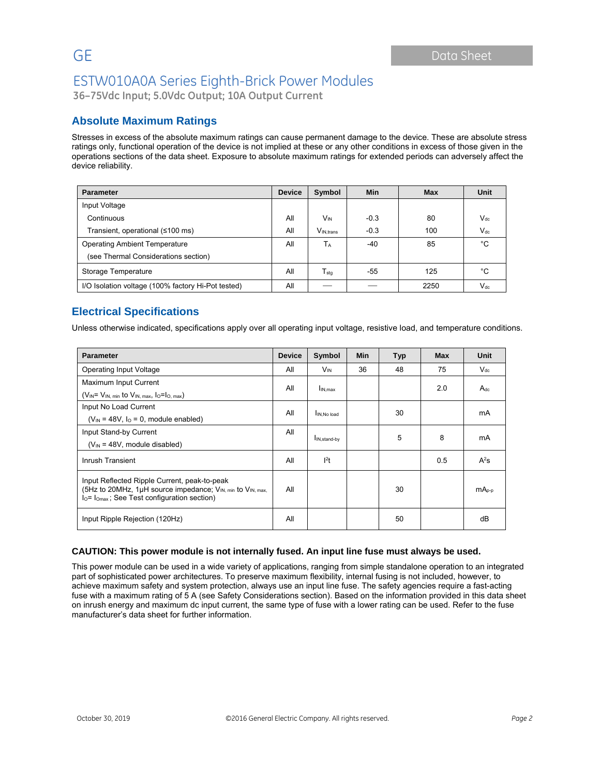**36–75Vdc Input; 5.0Vdc Output; 10A Output Current**

#### **Absolute Maximum Ratings**

Stresses in excess of the absolute maximum ratings can cause permanent damage to the device. These are absolute stress ratings only, functional operation of the device is not implied at these or any other conditions in excess of those given in the operations sections of the data sheet. Exposure to absolute maximum ratings for extended periods can adversely affect the device reliability.

| <b>Parameter</b>                                   | <b>Device</b> | Symbol                      | <b>Min</b> | <b>Max</b> | Unit     |
|----------------------------------------------------|---------------|-----------------------------|------------|------------|----------|
| Input Voltage                                      |               |                             |            |            |          |
| Continuous                                         | All           | <b>V<sub>IN</sub></b>       | $-0.3$     | 80         | $V_{dc}$ |
| Transient, operational (≤100 ms)                   | All           | V <sub>IN.trans</sub>       | $-0.3$     | 100        | $V_{dc}$ |
| <b>Operating Ambient Temperature</b>               | All           | TA                          | $-40$      | 85         | °C       |
| (see Thermal Considerations section)               |               |                             |            |            |          |
| Storage Temperature                                | All           | $\mathsf{T}_{\mathsf{stg}}$ | $-55$      | 125        | °C       |
| I/O Isolation voltage (100% factory Hi-Pot tested) | All           |                             |            | 2250       | $V_{dc}$ |

#### **Electrical Specifications**

Unless otherwise indicated, specifications apply over all operating input voltage, resistive load, and temperature conditions.

| <b>Parameter</b>                                                                                                                                                      | <b>Device</b> | Symbol                    | Min | <b>Typ</b> | <b>Max</b> | Unit     |
|-----------------------------------------------------------------------------------------------------------------------------------------------------------------------|---------------|---------------------------|-----|------------|------------|----------|
| <b>Operating Input Voltage</b>                                                                                                                                        | All           | <b>V<sub>IN</sub></b>     | 36  | 48         | 75         | $V_{dc}$ |
| Maximum Input Current                                                                                                                                                 | All           |                           |     |            | 2.0        | $A_{dc}$ |
| $(V_{IN} = V_{IN, min}$ to $V_{IN, max}$ , $I_0 = I_{O, max}$ )                                                                                                       |               | $I_{IN,max}$              |     |            |            |          |
| Input No Load Current                                                                                                                                                 | All           |                           |     | 30         |            | mA       |
| $(V_{IN} = 48V, IO = 0$ , module enabled)                                                                                                                             |               | IN, No load               |     |            |            |          |
| Input Stand-by Current                                                                                                                                                | All           | I <sub>IN, stand-by</sub> |     | 5          | 8          | mA       |
| $(V_{IN} = 48V$ , module disabled)                                                                                                                                    |               |                           |     |            |            |          |
| Inrush Transient                                                                                                                                                      |               | 1 <sup>2</sup> t          |     |            | 0.5        | $A^2$ s  |
| Input Reflected Ripple Current, peak-to-peak<br>(5Hz to 20MHz, 1µH source impedance; $V_{IN. min}$ to $V_{IN. max.}$<br>$IO= IOmax$ ; See Test configuration section) |               |                           |     | 30         |            | $mA0-p$  |
| Input Ripple Rejection (120Hz)                                                                                                                                        | All           |                           |     | 50         |            | dB       |

#### **CAUTION: This power module is not internally fused. An input line fuse must always be used.**

This power module can be used in a wide variety of applications, ranging from simple standalone operation to an integrated part of sophisticated power architectures. To preserve maximum flexibility, internal fusing is not included, however, to achieve maximum safety and system protection, always use an input line fuse. The safety agencies require a fast-acting fuse with a maximum rating of 5 A (see Safety Considerations section). Based on the information provided in this data sheet on inrush energy and maximum dc input current, the same type of fuse with a lower rating can be used. Refer to the fuse manufacturer's data sheet for further information.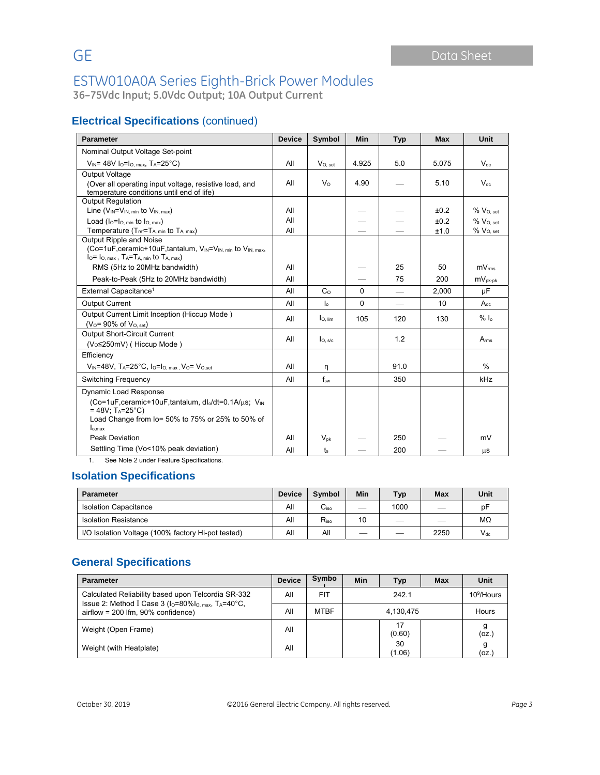**36–75Vdc Input; 5.0Vdc Output; 10A Output Current**

### **Electrical Specifications** (continued)

| <b>Parameter</b>                                                                                                                                                                                                         | <b>Device</b> | Symbol              | Min      | <b>Typ</b>               | <b>Max</b>           | <b>Unit</b>                                              |
|--------------------------------------------------------------------------------------------------------------------------------------------------------------------------------------------------------------------------|---------------|---------------------|----------|--------------------------|----------------------|----------------------------------------------------------|
| Nominal Output Voltage Set-point                                                                                                                                                                                         |               |                     |          |                          |                      |                                                          |
| $V_{IN}$ = 48V I <sub>O</sub> =I <sub>O, max</sub> , T <sub>A</sub> =25°C)                                                                                                                                               | All           | $V_{O.}$ set        | 4.925    | 5.0                      | 5.075                | $V_{dc}$                                                 |
| Output Voltage<br>(Over all operating input voltage, resistive load, and<br>temperature conditions until end of life)                                                                                                    | All           | $V_{\Omega}$        | 4.90     |                          | 5.10                 | $V_{\text{dc}}$                                          |
| <b>Output Regulation</b><br>Line $(V_{IN} = V_{IN, min}$ to $V_{IN, max}$ )<br>Load $(I_0 = I_0$ min to $I_0$ max)<br>Temperature (Tref=T <sub>A, min</sub> to T <sub>A, max</sub> )                                     |               |                     |          |                          | ±0.2<br>±0.2<br>±1.0 | $%$ $V_{O.}$ set<br>$%$ $V_{O.}$ set<br>$%$ $V_{O.}$ set |
| Output Ripple and Noise<br>(Co=1uF, ceramic+10uF, tantalum, V <sub>IN</sub> =V <sub>IN, min</sub> to V <sub>IN, max</sub> ,<br>$I_0 = I_{O, max}$ , $T_A = T_{A, min}$ to $T_{A, max}$ )<br>RMS (5Hz to 20MHz bandwidth) |               |                     |          | 25                       | 50                   | mV <sub>rms</sub>                                        |
| Peak-to-Peak (5Hz to 20MHz bandwidth)                                                                                                                                                                                    |               |                     |          | 75                       | 200                  | $mV_{pk-pk}$                                             |
| External Capacitance <sup>1</sup>                                                                                                                                                                                        |               | C <sub>0</sub>      | $\Omega$ |                          | 2,000                | μF                                                       |
| <b>Output Current</b>                                                                                                                                                                                                    |               | $\mathsf{I}_\circ$  | $\Omega$ | $\overline{\phantom{0}}$ | 10                   | $A_{dc}$                                                 |
| Output Current Limit Inception (Hiccup Mode)<br>$(V_0 = 90\% \text{ of } V_{0. \text{ set}})$                                                                                                                            | All           | $I_{O. lim}$        | 105      | 120                      | 130                  | $%$ $\alpha$                                             |
| <b>Output Short-Circuit Current</b><br>(V <sub>o</sub> ≤250mV) (Hiccup Mode)                                                                                                                                             |               | I <sub>O. S/c</sub> |          | 1.2                      |                      | A <sub>rms</sub>                                         |
| Efficiency<br>$V_{\text{IN}}$ =48V, T <sub>A</sub> =25°C, I <sub>O</sub> =I <sub>O, max</sub> , V <sub>O</sub> = V <sub>O,set</sub>                                                                                      |               | η                   |          | 91.0                     |                      | $\%$                                                     |
| Switching Frequency                                                                                                                                                                                                      |               | $f_{sw}$            |          | 350                      |                      | kHz                                                      |
| Dynamic Load Response<br>(Co=1uF, ceramic+10uF, tantalum, dlo/dt=0.1A/µs; V <sub>IN</sub><br>= 48V; $T_A = 25^{\circ}C$ )<br>Load Change from lo= 50% to 75% or 25% to 50% of<br>$I_{o,max}$                             |               |                     |          |                          |                      |                                                          |
| Peak Deviation                                                                                                                                                                                                           | All           | $V_{\text{pk}}$     |          | 250                      |                      | mV                                                       |
| Settling Time (Vo<10% peak deviation)                                                                                                                                                                                    | All           | $t_{s}$             |          | 200                      |                      | μS                                                       |

1. See Note 2 under Feature Specifications.

#### **Isolation Specifications**

| <b>Parameter</b>                                   |     | <b>Symbol</b>    | Min | <b>Typ</b>               | <b>Max</b>               | Unit     |
|----------------------------------------------------|-----|------------------|-----|--------------------------|--------------------------|----------|
| <b>Isolation Capacitance</b>                       | All | C <sub>iso</sub> |     | 1000                     | $\overline{\phantom{a}}$ | рF       |
| <b>Isolation Resistance</b>                        |     | $R_{\rm iso}$    | 10  | $\overline{\phantom{a}}$ | __                       | MΩ       |
| I/O Isolation Voltage (100% factory Hi-pot tested) |     | All              | __  |                          | 2250                     | $V_{dc}$ |

#### **General Specifications**

| <b>Parameter</b>                                                                                                                                                               | <b>Device</b> | Symbo       | Min  | <b>Typ</b>   | <b>Max</b>    | Unit       |
|--------------------------------------------------------------------------------------------------------------------------------------------------------------------------------|---------------|-------------|------|--------------|---------------|------------|
| Calculated Reliability based upon Telcordia SR-332<br>Issue 2: Method I Case 3 ( $I_0$ =80% $I_0$ <sub>max</sub> , T <sub>A</sub> =40°C,<br>airflow = 200 lfm, 90% confidence) |               | <b>FIT</b>  | 2421 |              | $10^9$ /Hours |            |
|                                                                                                                                                                                |               | <b>MTBF</b> |      | 4,130,475    |               |            |
| Weight (Open Frame)                                                                                                                                                            | All           |             |      | 17<br>(0.60) |               | (oz.)      |
| Weight (with Heatplate)                                                                                                                                                        | All           |             |      | 30<br>(1.06) |               | g<br>(oz.) |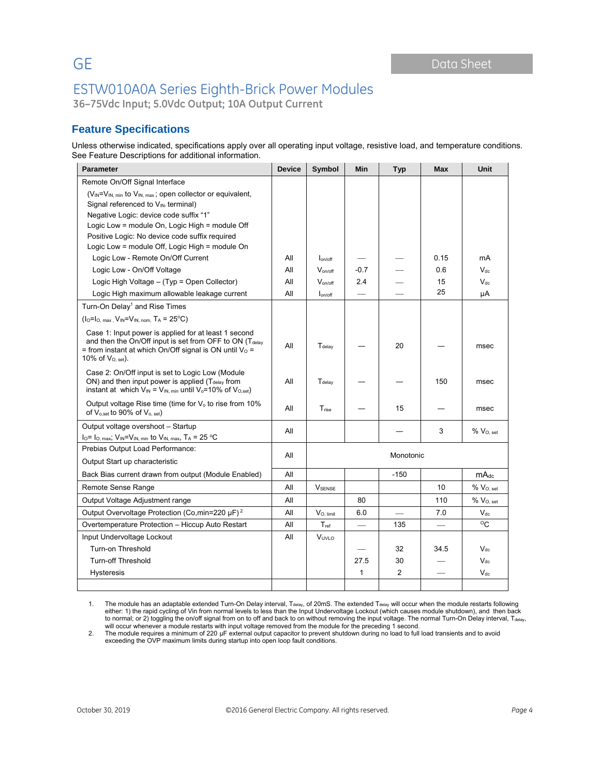**36–75Vdc Input; 5.0Vdc Output; 10A Output Current**

### **Feature Specifications**

Unless otherwise indicated, specifications apply over all operating input voltage, resistive load, and temperature conditions. See Feature Descriptions for additional information.

| <b>Parameter</b>                                                                                                                                                                                                    | <b>Device</b> | Symbol             | Min                      | Typ            | <b>Max</b> | Unit             |
|---------------------------------------------------------------------------------------------------------------------------------------------------------------------------------------------------------------------|---------------|--------------------|--------------------------|----------------|------------|------------------|
| Remote On/Off Signal Interface                                                                                                                                                                                      |               |                    |                          |                |            |                  |
| (V <sub>IN</sub> =V <sub>IN, min</sub> to V <sub>IN, max</sub> ; open collector or equivalent,                                                                                                                      |               |                    |                          |                |            |                  |
| Signal referenced to V <sub>IN</sub> terminal)                                                                                                                                                                      |               |                    |                          |                |            |                  |
| Negative Logic: device code suffix "1"                                                                                                                                                                              |               |                    |                          |                |            |                  |
| Logic Low = module On, Logic High = module Off                                                                                                                                                                      |               |                    |                          |                |            |                  |
| Positive Logic: No device code suffix required                                                                                                                                                                      |               |                    |                          |                |            |                  |
| Logic Low = module Off, Logic High = module On                                                                                                                                                                      |               |                    |                          |                |            |                  |
| Logic Low - Remote On/Off Current                                                                                                                                                                                   | All           | lon/off            |                          |                | 0.15       | mA               |
| Logic Low - On/Off Voltage                                                                                                                                                                                          | All           | $V_{on/off}$       | $-0.7$                   |                | 0.6        | $V_{dc}$         |
| Logic High Voltage - (Typ = Open Collector)                                                                                                                                                                         | All           | $V_{on/off}$       | 2.4                      |                | 15         | $V_{dc}$         |
| Logic High maximum allowable leakage current                                                                                                                                                                        | All           | $I_{on/off}$       | $\overline{\phantom{0}}$ |                | 25         | μA               |
| Turn-On Delay <sup>1</sup> and Rise Times                                                                                                                                                                           |               |                    |                          |                |            |                  |
| $(I_0 = I_0$ max, $V_{IN} = V_{IN}$ nom, $T_A = 25$ °C)                                                                                                                                                             |               |                    |                          |                |            |                  |
| Case 1: Input power is applied for at least 1 second<br>and then the On/Off input is set from OFF to ON $(T_{\text{delay}})$<br>= from instant at which On/Off signal is ON until $V_0$ =<br>10% of $V_{O. set}$ ). |               | T <sub>delav</sub> |                          | 20             |            | msec             |
| Case 2: On/Off input is set to Logic Low (Module<br>ON) and then input power is applied (T <sub>delay</sub> from<br>instant at which $V_{IN} = V_{IN, min}$ until $V_0 = 10\%$ of $V_{O, set}$ )                    |               | T <sub>delay</sub> |                          |                | 150        | msec             |
| Output voltage Rise time (time for $V_0$ to rise from 10%<br>of V <sub>o,set</sub> to 90% of V <sub>o, set</sub> )                                                                                                  | All           | T <sub>rise</sub>  |                          | 15             |            | msec             |
| Output voltage overshoot - Startup                                                                                                                                                                                  | All           |                    |                          |                | 3          | $% V_{O, set}$   |
| $I_0 = I_0$ , max; $V_{IN} = V_{IN}$ , min to $V_{IN}$ , max, $T_A = 25 °C$                                                                                                                                         |               |                    |                          |                |            |                  |
| Prebias Output Load Performance:                                                                                                                                                                                    | All           |                    |                          | Monotonic      |            |                  |
| Output Start up characteristic                                                                                                                                                                                      |               |                    |                          |                |            |                  |
| Back Bias current drawn from output (Module Enabled)                                                                                                                                                                | All           |                    |                          | $-150$         |            | mA <sub>dc</sub> |
| Remote Sense Range                                                                                                                                                                                                  | All           | <b>V</b> SENSE     |                          |                | 10         | $%$ $VO. set$    |
| Output Voltage Adjustment range                                                                                                                                                                                     |               |                    | 80                       |                | 110        | $%$ $VO. set$    |
| Output Overvoltage Protection (Co,min=220 µF) <sup>2</sup>                                                                                                                                                          |               | $V_{O.$ limit      | 6.0                      |                | 7.0        | $V_{dc}$         |
| Overtemperature Protection - Hiccup Auto Restart                                                                                                                                                                    |               | $T_{ref}$          | $\overline{\phantom{0}}$ | 135            |            | $^{\circ}$ C     |
| Input Undervoltage Lockout                                                                                                                                                                                          |               | Vuvi o             |                          |                |            |                  |
| Turn-on Threshold                                                                                                                                                                                                   |               |                    |                          | 32             | 34.5       | $V_{dc}$         |
| <b>Turn-off Threshold</b>                                                                                                                                                                                           |               |                    | 27.5                     | 30             |            | $V_{dc}$         |
| Hysteresis                                                                                                                                                                                                          |               |                    | 1                        | $\overline{2}$ |            | $V_{dc}$         |
|                                                                                                                                                                                                                     |               |                    |                          |                |            |                  |

1. The module has an adaptable extended Turn-On Delay interval, T<sub>delay</sub>, of 20mS. The extended T<sub>delay</sub> will occur when the module restarts following either: 1) the rapid cycling of Vin from normal levels to less than the Input Undervoltage Lockout (which causes module shutdown), and then back<br>to normal; or 2) toggling the on/off signal from on to off and back to on wit

exceeding the OVP maximum limits during startup into open loop fault conditions.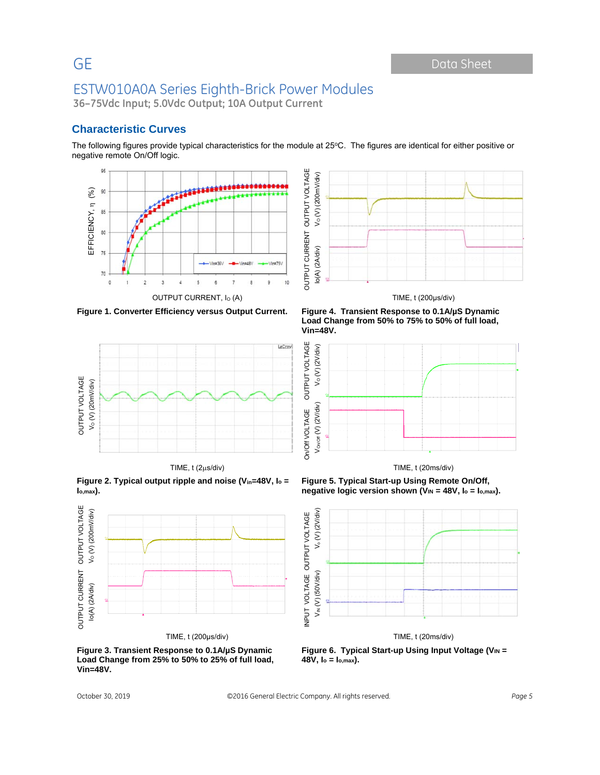GE Data Sheet

## ESTW010A0A Series Eighth-Brick Power Modules

**36–75Vdc Input; 5.0Vdc Output; 10A Output Current**

#### **Characteristic Curves**

The following figures provide typical characteristics for the module at 25°C. The figures are identical for either positive or negative remote On/Off logic.



**Figure 1. Converter Efficiency versus Output Current. Figure 4. Transient Response to 0.1A/µS Dynamic** 



**Figure 2. Typical output ripple and noise (Vin=48V, Io =** 



**Figure 3. Transient Response to 0.1A/µS Dynamic Load Change from 25% to 50% to 25% of full load, Vin=48V.** 



**Load Change from 50% to 75% to 50% of full load, Vin=48V.** 



**Figure 5. Typical Start-up Using Remote On/Off, negative logic version shown (VIN = 48V, Io = Io,max).** 



Figure 6. Typical Start-up Using Input Voltage (V<sub>IN</sub> = **48V, Io = Io,max).**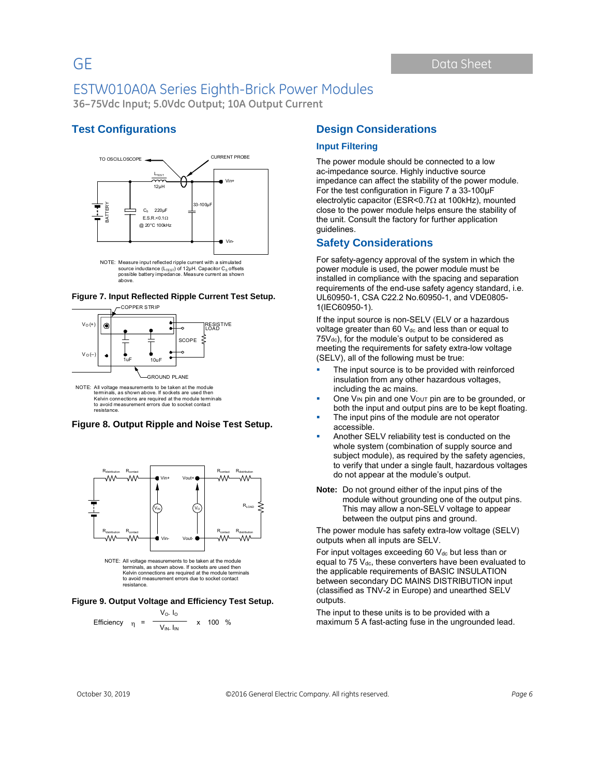**36–75Vdc Input; 5.0Vdc Output; 10A Output Current**

#### **Test Configurations**



NOTE: Measure input reflected ripple current with a simulated source inductance  $(L_{\text{TEST}})$  of 12μH. Capacitor C<sub>S</sub> offsets possible battery impedance. Measure current as shown above.

#### **Figure 7. Input Reflected Ripple Current Test Setup.**



terminals, as shown above. If sockets are used then Kelvin connections are required at the module terminals to avoid measurement errors due to socket contact resistance.

#### **Figure 8. Output Ripple and Noise Test Setup.**





#### **Figure 9. Output Voltage and Efficiency Test Setup.**

Efficiency 
$$
\eta = \frac{V_0 I_0}{V_{IN} I_{IN}} \times 100 %
$$

#### **Design Considerations**

#### **Input Filtering**

The power module should be connected to a low ac-impedance source. Highly inductive source impedance can affect the stability of the power module. For the test configuration in Figure 7 a 33-100μF electrolytic capacitor (ESR<0.7 $\Omega$  at 100kHz), mounted close to the power module helps ensure the stability of the unit. Consult the factory for further application guidelines.

#### **Safety Considerations**

For safety-agency approval of the system in which the power module is used, the power module must be installed in compliance with the spacing and separation requirements of the end-use safety agency standard, i.e. UL60950-1, CSA C22.2 No.60950-1, and VDE0805- 1(IEC60950-1).

If the input source is non-SELV (ELV or a hazardous voltage greater than 60  $V_{dc}$  and less than or equal to  $75V_{dc}$ ), for the module's output to be considered as meeting the requirements for safety extra-low voltage (SELV), all of the following must be true:

- The input source is to be provided with reinforced insulation from any other hazardous voltages, including the ac mains.
- One  $V_{IN}$  pin and one  $V_{OUT}$  pin are to be grounded, or both the input and output pins are to be kept floating.
- The input pins of the module are not operator accessible.
- Another SELV reliability test is conducted on the whole system (combination of supply source and subject module), as required by the safety agencies, to verify that under a single fault, hazardous voltages do not appear at the module's output.
- **Note:** Do not ground either of the input pins of the module without grounding one of the output pins. This may allow a non-SELV voltage to appear between the output pins and ground.

The power module has safety extra-low voltage (SELV) outputs when all inputs are SELV.

For input voltages exceeding 60  $V_{dc}$  but less than or equal to 75  $V<sub>dc</sub>$ , these converters have been evaluated to the applicable requirements of BASIC INSULATION between secondary DC MAINS DISTRIBUTION input (classified as TNV-2 in Europe) and unearthed SELV outputs.

The input to these units is to be provided with a maximum 5 A fast-acting fuse in the ungrounded lead.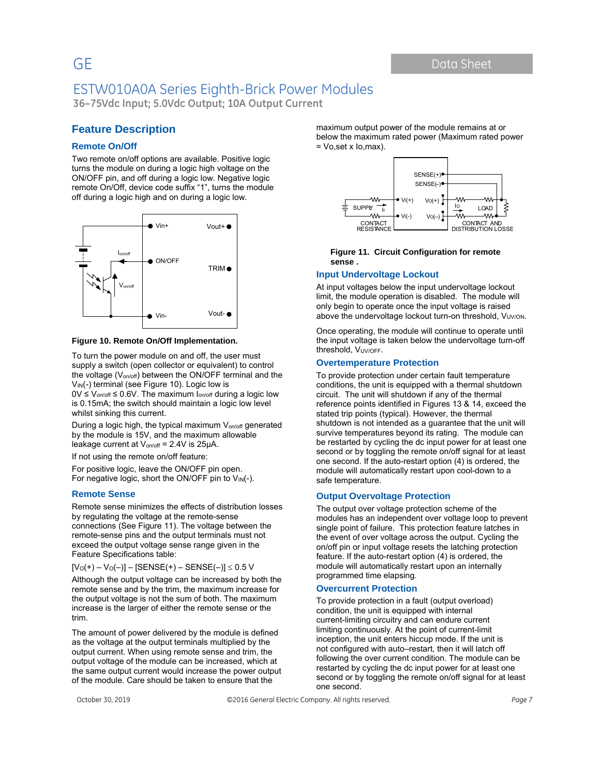GE Data Sheet

## ESTW010A0A Series Eighth-Brick Power Modules

**36–75Vdc Input; 5.0Vdc Output; 10A Output Current**

#### **Feature Description**

#### **Remote On/Off**

Two remote on/off options are available. Positive logic turns the module on during a logic high voltage on the ON/OFF pin, and off during a logic low. Negative logic remote On/Off, device code suffix "1", turns the module off during a logic high and on during a logic low.



#### **Figure 10. Remote On/Off Implementation.**

To turn the power module on and off, the user must supply a switch (open collector or equivalent) to control the voltage  $(V_{on/off})$  between the ON/OFF terminal and the V<sub>IN</sub>(-) terminal (see Figure 10). Logic low is

 $0V \le V_{on/off} \le 0.6V$ . The maximum  $I_{on/off}$  during a logic low is 0.15mA; the switch should maintain a logic low level whilst sinking this current.

During a logic high, the typical maximum V<sub>on/off</sub> generated by the module is 15V, and the maximum allowable leakage current at  $V_{on/off} = 2.4V$  is 25 $\mu$ A.

If not using the remote on/off feature:

For positive logic, leave the ON/OFF pin open. For negative logic, short the ON/OFF pin to V<sub>IN</sub>(-).

#### **Remote Sense**

Remote sense minimizes the effects of distribution losses by regulating the voltage at the remote-sense connections (See Figure 11). The voltage between the remote-sense pins and the output terminals must not exceed the output voltage sense range given in the Feature Specifications table:

 $[V_0(+) - V_0(-)] - [SENSE(+) - SENSE(-)] \leq 0.5 V$ 

Although the output voltage can be increased by both the remote sense and by the trim, the maximum increase for the output voltage is not the sum of both. The maximum increase is the larger of either the remote sense or the trim.

The amount of power delivered by the module is defined as the voltage at the output terminals multiplied by the output current. When using remote sense and trim, the output voltage of the module can be increased, which at the same output current would increase the power output of the module. Care should be taken to ensure that the

maximum output power of the module remains at or below the maximum rated power (Maximum rated power = Vo,set x Io,max).



#### **Figure 11. Circuit Configuration for remote sense .**

#### **Input Undervoltage Lockout**

At input voltages below the input undervoltage lockout limit, the module operation is disabled. The module will only begin to operate once the input voltage is raised above the undervoltage lockout turn-on threshold, Vuvion.

Once operating, the module will continue to operate until the input voltage is taken below the undervoltage turn-off threshold, VUV/OFF.

#### **Overtemperature Protection**

To provide protection under certain fault temperature conditions, the unit is equipped with a thermal shutdown circuit. The unit will shutdown if any of the thermal reference points identified in Figures 13 & 14, exceed the stated trip points (typical). However, the thermal shutdown is not intended as a guarantee that the unit will survive temperatures beyond its rating. The module can be restarted by cycling the dc input power for at least one second or by toggling the remote on/off signal for at least one second. If the auto-restart option (4) is ordered, the module will automatically restart upon cool-down to a safe temperature.

#### **Output Overvoltage Protection**

The output over voltage protection scheme of the modules has an independent over voltage loop to prevent single point of failure. This protection feature latches in the event of over voltage across the output. Cycling the on/off pin or input voltage resets the latching protection feature. If the auto-restart option (4) is ordered, the module will automatically restart upon an internally programmed time elapsing.

#### **Overcurrent Protection**

To provide protection in a fault (output overload) condition, the unit is equipped with internal current-limiting circuitry and can endure current limiting continuously. At the point of current-limit inception, the unit enters hiccup mode. If the unit is not configured with auto–restart, then it will latch off following the over current condition. The module can be restarted by cycling the dc input power for at least one second or by toggling the remote on/off signal for at least one second.

October 30, 2019 ©2016 General Electric Company. All rights reserved. *Page 7*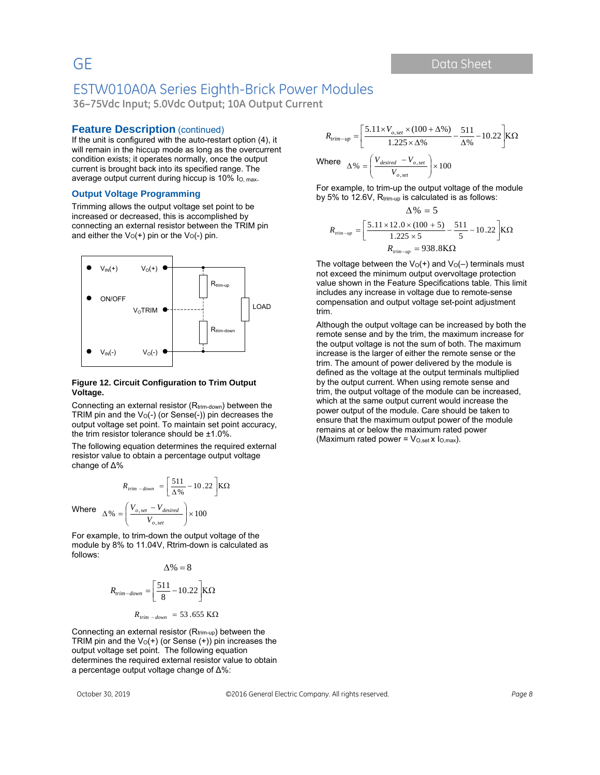**36–75Vdc Input; 5.0Vdc Output; 10A Output Current**

#### **Feature Description** (continued)

If the unit is configured with the auto-restart option (4), it will remain in the hiccup mode as long as the overcurrent condition exists; it operates normally, once the output current is brought back into its specified range. The average output current during hiccup is 10% Io, max.

#### **Output Voltage Programming**

Trimming allows the output voltage set point to be increased or decreased, this is accomplished by connecting an external resistor between the TRIM pin and either the  $V_O(+)$  pin or the  $V_O(-)$  pin.



#### **Figure 12. Circuit Configuration to Trim Output Voltage.**

Connecting an external resistor (Rtrim-down) between the TRIM pin and the  $V_0$ (-) (or Sense(-)) pin decreases the output voltage set point. To maintain set point accuracy, the trim resistor tolerance should be ±1.0%.

The following equation determines the required external resistor value to obtain a percentage output voltage change of ∆%

$$
R_{trim - down} = \left[\frac{511}{\Delta\%} - 10.22\right] K\Omega
$$

$$
\Delta\% = \left(\frac{V_{o,set} - V_{desired}}{\Delta\%}\right) \times 100
$$

J

Where  $\Delta\% = \left| \frac{V_{o,set} - V_{desired}}{V_{o,set}} \right| \times 100$ 

 $\overline{\phantom{a}}$ ∖

For example, to trim-down the output voltage of the module by 8% to 11.04V, Rtrim-down is calculated as follows:

 $\frac{1}{\sqrt{1+\frac{1}{n}}}\left\vert x\right\vert \times$ 

*o set o set desired V*

$$
\Delta\% = 8
$$
  

$$
R_{trim-down} = \left[\frac{511}{8} - 10.22\right] K\Omega
$$
  

$$
R_{trim-down} = 53.655 K\Omega
$$

Connecting an external resistor (Rtrim-up) between the TRIM pin and the  $V_0(+)$  (or Sense  $(+)$ ) pin increases the output voltage set point. The following equation determines the required external resistor value to obtain a percentage output voltage change of ∆%:

$$
R_{trim-up} = \left[\frac{5.11 \times V_{o,set} \times (100 + \Delta\%)}{1.225 \times \Delta\%} - \frac{511}{\Delta\%} - 10.22\right] K\Omega
$$
  
Where 
$$
\Delta\% = \left(\frac{V_{desired} - V_{o,set}}{V_{o,set}}\right) \times 100
$$

For example, to trim-up the output voltage of the module by 5% to 12.6V, Rtrim-up is calculated is as follows:

$$
\Delta\% = 5
$$
  

$$
R_{\text{trim-up}} = \left[\frac{5.11 \times 12.0 \times (100 + 5)}{1.225 \times 5} - \frac{511}{5} - 10.22\right] K\Omega
$$
  

$$
R_{\text{trim-up}} = 938.8 K\Omega
$$

The voltage between the  $V_0(+)$  and  $V_0(-)$  terminals must not exceed the minimum output overvoltage protection value shown in the Feature Specifications table. This limit includes any increase in voltage due to remote-sense compensation and output voltage set-point adjustment trim.

Although the output voltage can be increased by both the remote sense and by the trim, the maximum increase for the output voltage is not the sum of both. The maximum increase is the larger of either the remote sense or the trim. The amount of power delivered by the module is defined as the voltage at the output terminals multiplied by the output current. When using remote sense and trim, the output voltage of the module can be increased, which at the same output current would increase the power output of the module. Care should be taken to ensure that the maximum output power of the module remains at or below the maximum rated power (Maximum rated power =  $V_{O,set}$  x  $I_{O,max}$ ).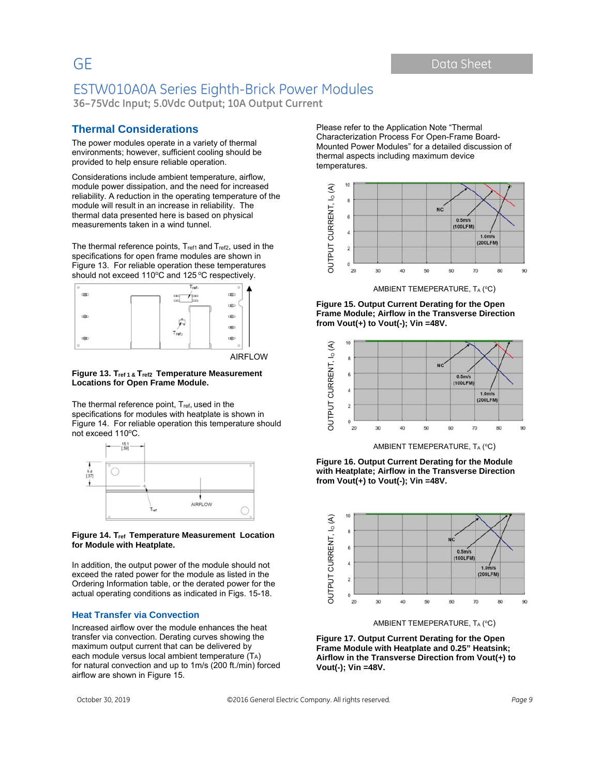**36–75Vdc Input; 5.0Vdc Output; 10A Output Current**

#### **Thermal Considerations**

The power modules operate in a variety of thermal environments; however, sufficient cooling should be provided to help ensure reliable operation.

Considerations include ambient temperature, airflow, module power dissipation, and the need for increased reliability. A reduction in the operating temperature of the module will result in an increase in reliability. The thermal data presented here is based on physical measurements taken in a wind tunnel.

The thermal reference points, Tref1 and Tref2, used in the specifications for open frame modules are shown in Figure 13. For reliable operation these temperatures should not exceed 110°C and 125 °C respectively.



AIRFLOW

#### **Figure 13. Tref 1 & Tref2 Temperature Measurement Locations for Open Frame Module.**

The thermal reference point, Tref, used in the specifications for modules with heatplate is shown in Figure 14. For reliable operation this temperature should not exceed 110°C.



#### **Figure 14. Tref Temperature Measurement Location for Module with Heatplate.**

In addition, the output power of the module should not exceed the rated power for the module as listed in the Ordering Information table, or the derated power for the actual operating conditions as indicated in Figs. 15-18.

#### **Heat Transfer via Convection**

Increased airflow over the module enhances the heat transfer via convection. Derating curves showing the maximum output current that can be delivered by each module versus local ambient temperature (TA) for natural convection and up to 1m/s (200 ft./min) forced airflow are shown in Figure 15.

Please refer to the Application Note "Thermal Characterization Process For Open-Frame Board-Mounted Power Modules" for a detailed discussion of thermal aspects including maximum device temperatures.



AMBIENT TEMEPERATURE, TA (°C)

**Figure 15. Output Current Derating for the Open Frame Module; Airflow in the Transverse Direction from Vout(+) to Vout(-); Vin =48V.** 



AMBIENT TEMEPERATURE, TA (°C)

**Figure 16. Output Current Derating for the Module with Heatplate; Airflow in the Transverse Direction from Vout(+) to Vout(-); Vin =48V.** 



AMBIENT TEMEPERATURE, TA (°C)

**Figure 17. Output Current Derating for the Open Frame Module with Heatplate and 0.25" Heatsink; Airflow in the Transverse Direction from Vout(+) to Vout(-); Vin =48V.**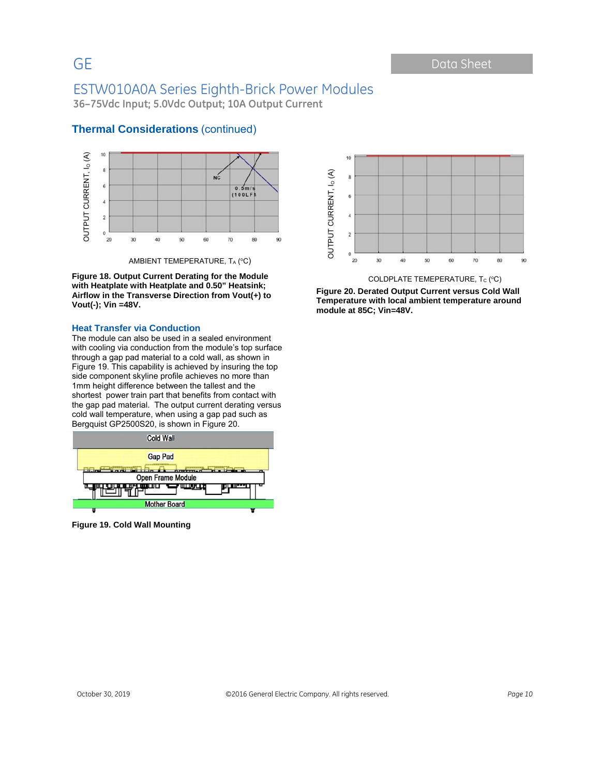**36–75Vdc Input; 5.0Vdc Output; 10A Output Current**



#### **Thermal Considerations** (continued)

AMBIENT TEMEPERATURE, TA (°C)

**Figure 18. Output Current Derating for the Module with Heatplate with Heatplate and 0.50" Heatsink; Airflow in the Transverse Direction from Vout(+) to Vout(-); Vin =48V.** 

#### **Heat Transfer via Conduction**

The module can also be used in a sealed environment with cooling via conduction from the module's top surface through a gap pad material to a cold wall, as shown in Figure 19. This capability is achieved by insuring the top side component skyline profile achieves no more than 1mm height difference between the tallest and the shortest power train part that benefits from contact with the gap pad material. The output current derating versus cold wall temperature, when using a gap pad such as Bergquist GP2500S20, is shown in Figure 20.



**Figure 19. Cold Wall Mounting** 



COLDPLATE TEMEPERATURE, Tc (°C)

**Figure 20. Derated Output Current versus Cold Wall Temperature with local ambient temperature around module at 85C; Vin=48V.**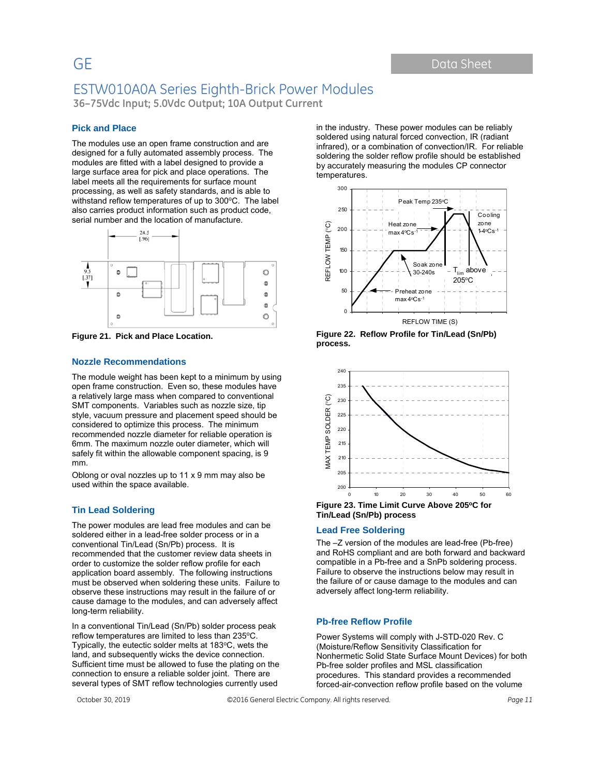GE Data Sheet

## ESTW010A0A Series Eighth-Brick Power Modules

**36–75Vdc Input; 5.0Vdc Output; 10A Output Current**

#### **Pick and Place**

The modules use an open frame construction and are designed for a fully automated assembly process. The modules are fitted with a label designed to provide a large surface area for pick and place operations. The label meets all the requirements for surface mount processing, as well as safety standards, and is able to withstand reflow temperatures of up to  $300^{\circ}$ C. The label also carries product information such as product code, serial number and the location of manufacture.



**Figure 21. Pick and Place Location.** 

#### **Nozzle Recommendations**

The module weight has been kept to a minimum by using open frame construction. Even so, these modules have a relatively large mass when compared to conventional SMT components. Variables such as nozzle size, tip style, vacuum pressure and placement speed should be considered to optimize this process. The minimum recommended nozzle diameter for reliable operation is 6mm. The maximum nozzle outer diameter, which will safely fit within the allowable component spacing, is 9 mm.

Oblong or oval nozzles up to 11 x 9 mm may also be used within the space available.

#### **Tin Lead Soldering**

The power modules are lead free modules and can be soldered either in a lead-free solder process or in a conventional Tin/Lead (Sn/Pb) process. It is recommended that the customer review data sheets in order to customize the solder reflow profile for each application board assembly. The following instructions must be observed when soldering these units. Failure to observe these instructions may result in the failure of or cause damage to the modules, and can adversely affect long-term reliability.

In a conventional Tin/Lead (Sn/Pb) solder process peak reflow temperatures are limited to less than 235°C. Typically, the eutectic solder melts at 183°C, wets the land, and subsequently wicks the device connection. Sufficient time must be allowed to fuse the plating on the connection to ensure a reliable solder joint. There are several types of SMT reflow technologies currently used

in the industry. These power modules can be reliably soldered using natural forced convection, IR (radiant infrared), or a combination of convection/IR. For reliable soldering the solder reflow profile should be established by accurately measuring the modules CP connector temperatures.







**Tin/Lead (Sn/Pb) process** 

#### **Lead Free Soldering**

The –Z version of the modules are lead-free (Pb-free) and RoHS compliant and are both forward and backward compatible in a Pb-free and a SnPb soldering process. Failure to observe the instructions below may result in the failure of or cause damage to the modules and can adversely affect long-term reliability.

#### **Pb-free Reflow Profile**

Power Systems will comply with J-STD-020 Rev. C (Moisture/Reflow Sensitivity Classification for Nonhermetic Solid State Surface Mount Devices) for both Pb-free solder profiles and MSL classification procedures. This standard provides a recommended forced-air-convection reflow profile based on the volume

October 30, 2019 ©2016 General Electric Company. All rights reserved. *Page 11*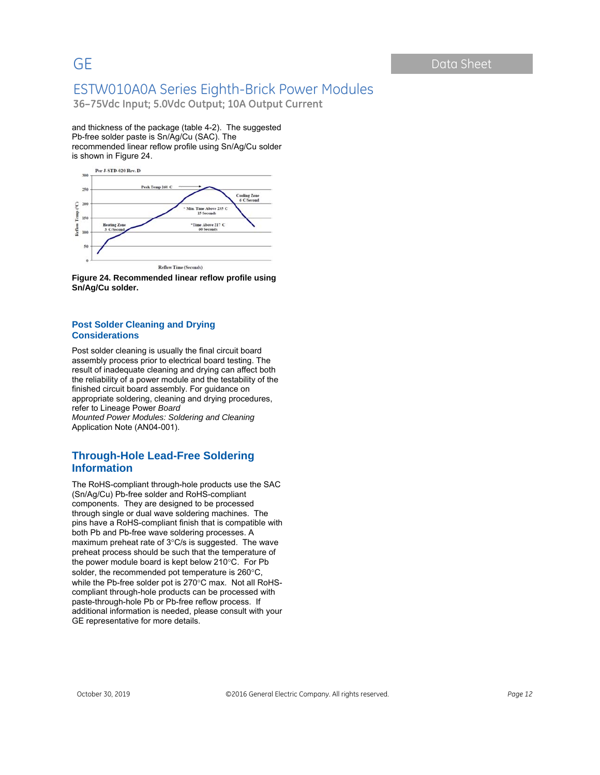**36–75Vdc Input; 5.0Vdc Output; 10A Output Current**

and thickness of the package (table 4-2). The suggested Pb-free solder paste is Sn/Ag/Cu (SAC). The recommended linear reflow profile using Sn/Ag/Cu solder is shown in Figure 24.





#### **Post Solder Cleaning and Drying Considerations**

Post solder cleaning is usually the final circuit board assembly process prior to electrical board testing. The result of inadequate cleaning and drying can affect both the reliability of a power module and the testability of the finished circuit board assembly. For guidance on appropriate soldering, cleaning and drying procedures, refer to Lineage Power *Board Mounted Power Modules: Soldering and Cleaning* Application Note (AN04-001).

#### **Through-Hole Lead-Free Soldering Information**

The RoHS-compliant through-hole products use the SAC (Sn/Ag/Cu) Pb-free solder and RoHS-compliant components. They are designed to be processed through single or dual wave soldering machines. The pins have a RoHS-compliant finish that is compatible with both Pb and Pb-free wave soldering processes. A maximum preheat rate of  $3^{\circ}$ C/s is suggested. The wave preheat process should be such that the temperature of the power module board is kept below  $210^{\circ}$ C. For Pb solder, the recommended pot temperature is  $260^{\circ}$ C, while the Pb-free solder pot is 270°C max. Not all RoHScompliant through-hole products can be processed with paste-through-hole Pb or Pb-free reflow process. If additional information is needed, please consult with your GE representative for more details.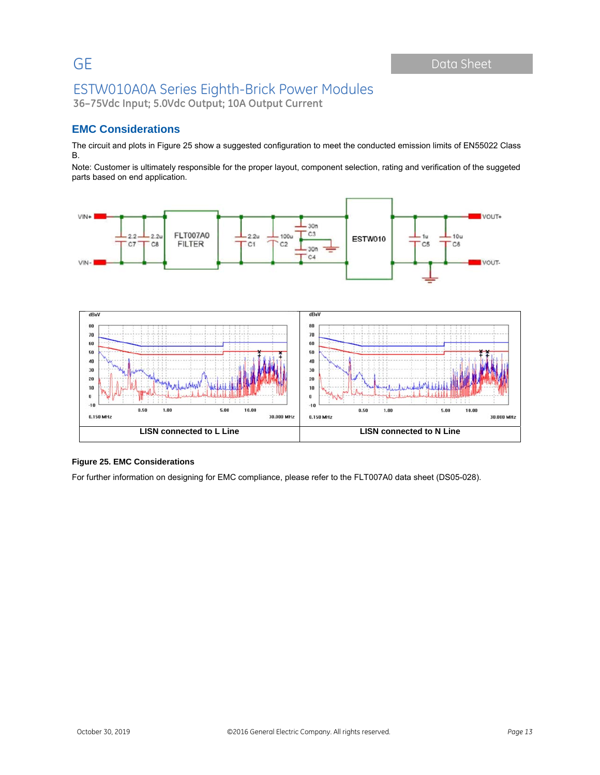**36–75Vdc Input; 5.0Vdc Output; 10A Output Current**

### **EMC Considerations**

The circuit and plots in Figure 25 show a suggested configuration to meet the conducted emission limits of EN55022 Class B.

Note: Customer is ultimately responsible for the proper layout, component selection, rating and verification of the suggeted parts based on end application.



#### **Figure 25. EMC Considerations**

For further information on designing for EMC compliance, please refer to the FLT007A0 data sheet (DS05-028).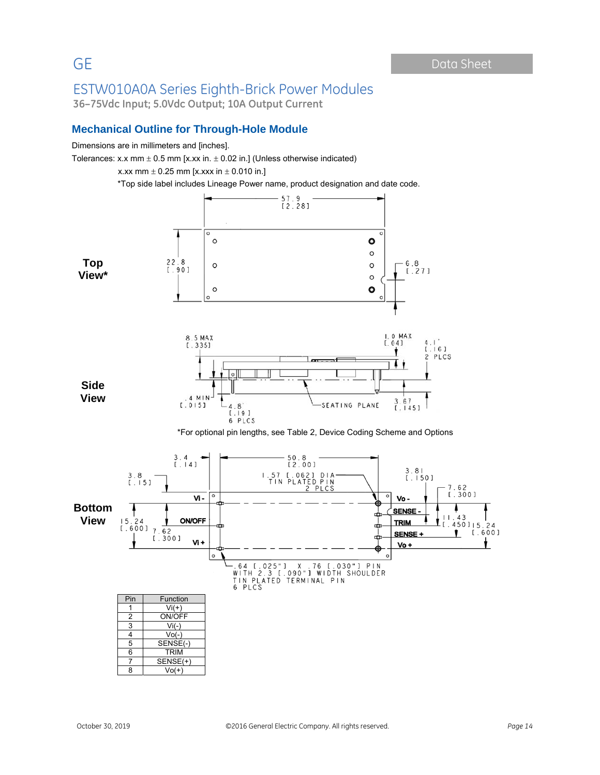**36–75Vdc Input; 5.0Vdc Output; 10A Output Current**

#### **Mechanical Outline for Through-Hole Module**

Dimensions are in millimeters and [inches].

Tolerances: x.x mm  $\pm$  0.5 mm [x.xx in.  $\pm$  0.02 in.] (Unless otherwise indicated)

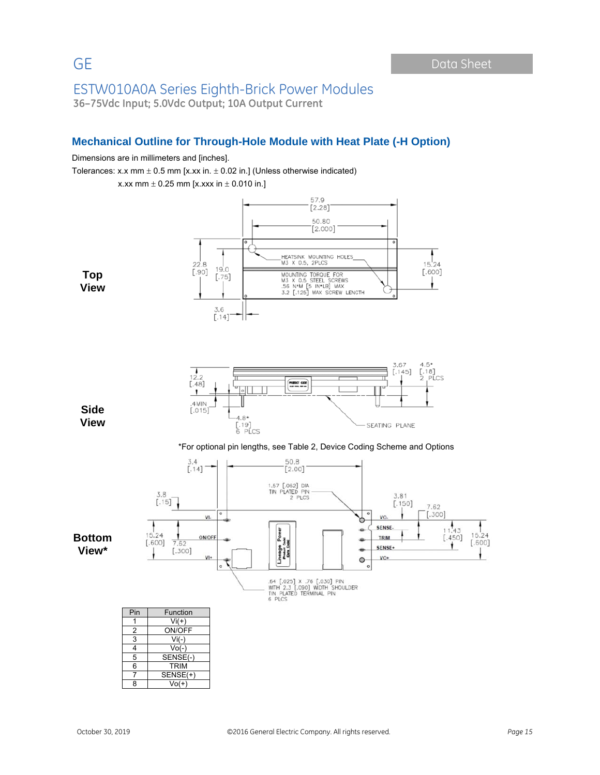### ESTW010A0A Series Eighth-Brick Power Modules **36–75Vdc Input; 5.0Vdc Output; 10A Output Current**

#### **Mechanical Outline for Through-Hole Module with Heat Plate (-H Option)**

#### Dimensions are in millimeters and [inches].

Tolerances: x.x mm  $\pm$  0.5 mm [x.xx in.  $\pm$  0.02 in.] (Unless otherwise indicated)



8 Vo(+)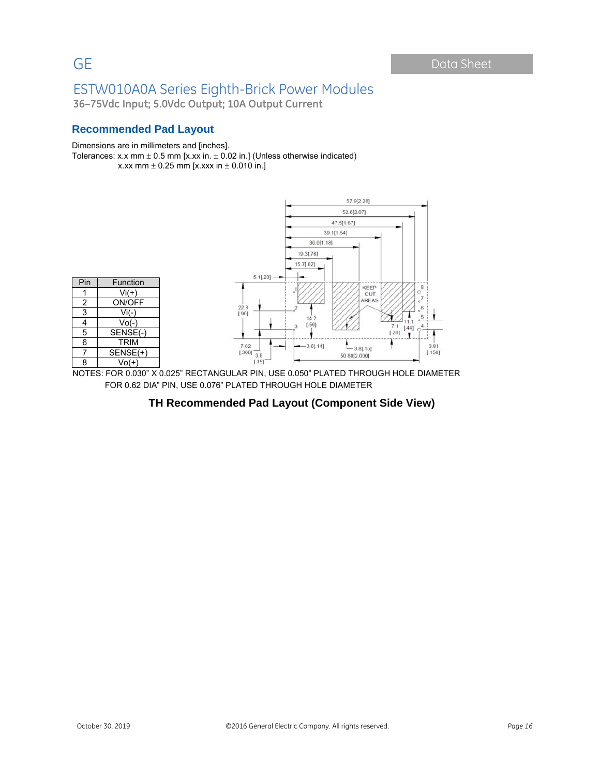**36–75Vdc Input; 5.0Vdc Output; 10A Output Current**

### **Recommended Pad Layout**

#### Dimensions are in millimeters and [inches].

Tolerances: x.x mm  $\pm$  0.5 mm [x.xx in.  $\pm$  0.02 in.] (Unless otherwise indicated)

x.xx mm  $\pm$  0.25 mm [x.xxx in  $\pm$  0.010 in.]



NOTES: FOR 0.030" X 0.025" RECTANGULAR PIN, USE 0.050" PLATED THROUGH HOLE DIAMETER FOR 0.62 DIA" PIN, USE 0.076" PLATED THROUGH HOLE DIAMETER

#### **TH Recommended Pad Layout (Component Side View)**